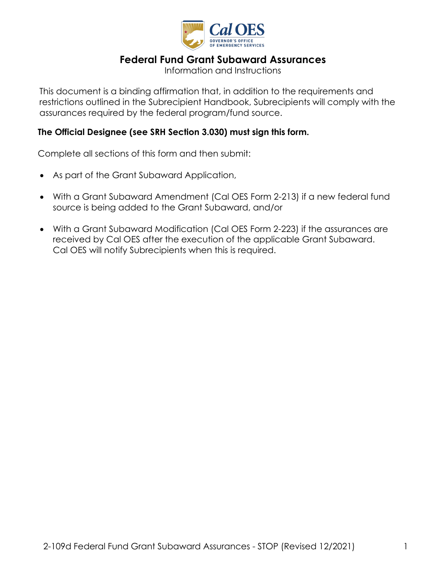

# **Federal Fund Grant Subaward Assurances**

Information and Instructions

This document is a binding affirmation that, in addition to the requirements and restrictions outlined in the Subrecipient Handbook, Subrecipients will comply with the assurances required by the federal program/fund source.

### **The Official Designee (see SRH Section 3.030) must sign this form.**

Complete all sections of this form and then submit:

- As part of the Grant Subaward Application,
- With a Grant Subaward Amendment (Cal OES Form 2-213) if a new federal fund source is being added to the Grant Subaward, and/or
- With a Grant Subaward Modification (Cal OES Form 2-223) if the assurances are received by Cal OES after the execution of the applicable Grant Subaward. Cal OES will notify Subrecipients when this is required.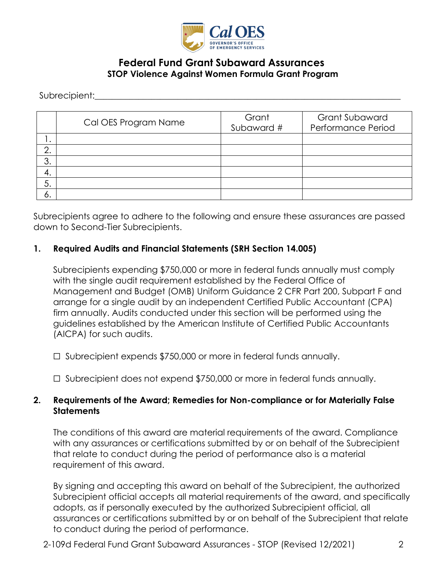

## **Federal Fund Grant Subaward Assurances STOP Violence Against Women Formula Grant Program**

Subrecipient:

|         | Cal OES Program Name | Grant<br>Subaward # | <b>Grant Subaward</b><br>Performance Period |
|---------|----------------------|---------------------|---------------------------------------------|
| . .     |                      |                     |                                             |
| ⌒<br>z. |                      |                     |                                             |
| 3.      |                      |                     |                                             |
| 4.      |                      |                     |                                             |
| 5.      |                      |                     |                                             |
| о.      |                      |                     |                                             |

Subrecipients agree to adhere to the following and ensure these assurances are passed down to Second-Tier Subrecipients.

#### **1. Required Audits and Financial Statements (SRH Section 14.005)**

Subrecipients expending \$750,000 or more in federal funds annually must comply with the single audit requirement established by the Federal Office of Management and Budget (OMB) Uniform Guidance 2 CFR Part 200, Subpart F and arrange for a single audit by an independent Certified Public Accountant (CPA) firm annually. Audits conducted under this section will be performed using the guidelines established by the American Institute of Certified Public Accountants (AICPA) for such audits.

☐ Subrecipient expends \$750,000 or more in federal funds annually.

☐ Subrecipient does not expend \$750,000 or more in federal funds annually.

#### **2. Requirements of the Award; Remedies for Non-compliance or for Materially False Statements**

The conditions of this award are material requirements of the award. Compliance with any assurances or certifications submitted by or on behalf of the Subrecipient that relate to conduct during the period of performance also is a material requirement of this award.

By signing and accepting this award on behalf of the Subrecipient, the authorized Subrecipient official accepts all material requirements of the award, and specifically adopts, as if personally executed by the authorized Subrecipient official, all assurances or certifications submitted by or on behalf of the Subrecipient that relate to conduct during the period of performance.

2-109d Federal Fund Grant Subaward Assurances - STOP (Revised 12/2021) 2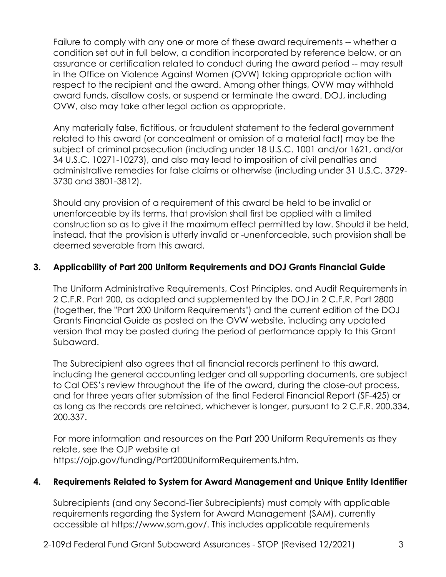Failure to comply with any one or more of these award requirements -- whether a condition set out in full below, a condition incorporated by reference below, or an assurance or certification related to conduct during the award period -- may result in the Office on Violence Against Women (OVW) taking appropriate action with respect to the recipient and the award. Among other things, OVW may withhold award funds, disallow costs, or suspend or terminate the award. DOJ, including OVW, also may take other legal action as appropriate.

Any materially false, fictitious, or fraudulent statement to the federal government related to this award (or concealment or omission of a material fact) may be the subject of criminal prosecution (including under 18 U.S.C. 1001 and/or 1621, and/or 34 U.S.C. 10271-10273), and also may lead to imposition of civil penalties and administrative remedies for false claims or otherwise (including under 31 U.S.C. 3729- 3730 and 3801-3812).

Should any provision of a requirement of this award be held to be invalid or unenforceable by its terms, that provision shall first be applied with a limited construction so as to give it the maximum effect permitted by law. Should it be held, instead, that the provision is utterly invalid or -unenforceable, such provision shall be deemed severable from this award.

## **3. Applicability of Part 200 Uniform Requirements and DOJ Grants Financial Guide**

The Uniform Administrative Requirements, Cost Principles, and Audit Requirements in 2 C.F.R. Part 200, as adopted and supplemented by the DOJ in 2 C.F.R. Part 2800 (together, the "Part 200 Uniform Requirements") and the current edition of the DOJ Grants Financial Guide as posted on the OVW website, including any updated version that may be posted during the period of performance apply to this Grant Subaward.

The Subrecipient also agrees that all financial records pertinent to this award, including the general accounting ledger and all supporting documents, are subject to Cal OES's review throughout the life of the award, during the close-out process, and for three years after submission of the final Federal Financial Report (SF-425) or as long as the records are retained, whichever is longer, pursuant to 2 C.F.R. 200.334, 200.337.

For more information and resources on the Part 200 Uniform Requirements as they relate, see the OJP website at https://ojp.gov/funding/Part200UniformRequirements.htm.

#### **4. Requirements Related to System for Award Management and Unique Entity Identifier**

Subrecipients (and any Second-Tier Subrecipients) must comply with applicable requirements regarding the System for Award Management (SAM), currently accessible at https://www.sam.gov/. This includes applicable requirements

2-109d Federal Fund Grant Subaward Assurances - STOP (Revised 12/2021) 3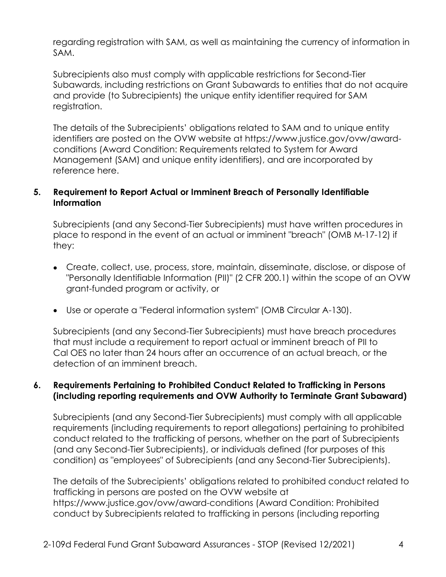regarding registration with SAM, as well as maintaining the currency of information in SAM.

Subrecipients also must comply with applicable restrictions for Second-Tier Subawards, including restrictions on Grant Subawards to entities that do not acquire and provide (to Subrecipients) the unique entity identifier required for SAM registration.

The details of the Subrecipients' obligations related to SAM and to unique entity identifiers are posted on the OVW website at https://www.justice.gov/ovw/awardconditions (Award Condition: Requirements related to System for Award Management (SAM) and unique entity identifiers), and are incorporated by reference here.

## **5. Requirement to Report Actual or Imminent Breach of Personally Identifiable Information**

Subrecipients (and any Second-Tier Subrecipients) must have written procedures in place to respond in the event of an actual or imminent "breach" (OMB M-17-12) if they:

- Create, collect, use, process, store, maintain, disseminate, disclose, or dispose of "Personally Identifiable Information (PII)" (2 CFR 200.1) within the scope of an OVW grant-funded program or activity, or
- Use or operate a "Federal information system" (OMB Circular A-130).

Subrecipients (and any Second-Tier Subrecipients) must have breach procedures that must include a requirement to report actual or imminent breach of PII to Cal OES no later than 24 hours after an occurrence of an actual breach, or the detection of an imminent breach.

### **6. Requirements Pertaining to Prohibited Conduct Related to Trafficking in Persons (including reporting requirements and OVW Authority to Terminate Grant Subaward)**

Subrecipients (and any Second-Tier Subrecipients) must comply with all applicable requirements (including requirements to report allegations) pertaining to prohibited conduct related to the trafficking of persons, whether on the part of Subrecipients (and any Second-Tier Subrecipients), or individuals defined (for purposes of this condition) as "employees" of Subrecipients (and any Second-Tier Subrecipients).

The details of the Subrecipients' obligations related to prohibited conduct related to trafficking in persons are posted on the OVW website at https://www.justice.gov/ovw/award-conditions (Award Condition: Prohibited conduct by Subrecipients related to trafficking in persons (including reporting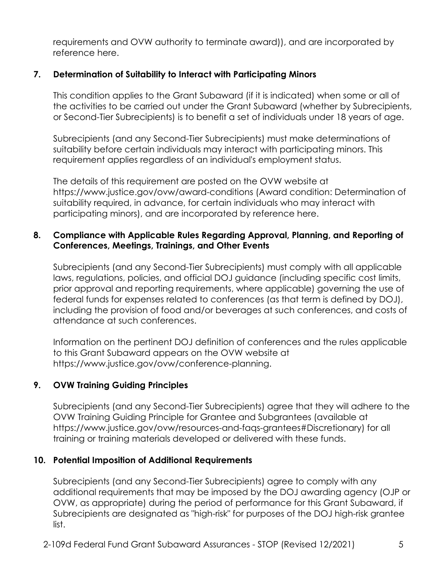requirements and OVW authority to terminate award)), and are incorporated by reference here.

## **7. Determination of Suitability to Interact with Participating Minors**

This condition applies to the Grant Subaward (if it is indicated) when some or all of the activities to be carried out under the Grant Subaward (whether by Subrecipients, or Second-Tier Subrecipients) is to benefit a set of individuals under 18 years of age.

Subrecipients (and any Second-Tier Subrecipients) must make determinations of suitability before certain individuals may interact with participating minors. This requirement applies regardless of an individual's employment status.

The details of this requirement are posted on the OVW website at https://www.justice.gov/ovw/award-conditions (Award condition: Determination of suitability required, in advance, for certain individuals who may interact with participating minors), and are incorporated by reference here.

### **8. Compliance with Applicable Rules Regarding Approval, Planning, and Reporting of Conferences, Meetings, Trainings, and Other Events**

Subrecipients (and any Second-Tier Subrecipients) must comply with all applicable laws, regulations, policies, and official DOJ guidance (including specific cost limits, prior approval and reporting requirements, where applicable) governing the use of federal funds for expenses related to conferences (as that term is defined by DOJ), including the provision of food and/or beverages at such conferences, and costs of attendance at such conferences.

Information on the pertinent DOJ definition of conferences and the rules applicable to this Grant Subaward appears on the OVW website at https://www.justice.gov/ovw/conference-planning.

## **9. OVW Training Guiding Principles**

Subrecipients (and any Second-Tier Subrecipients) agree that they will adhere to the OVW Training Guiding Principle for Grantee and Subgrantees (available at https://www.justice.gov/ovw/resources-and-faqs-grantees#Discretionary) for all training or training materials developed or delivered with these funds.

#### **10. Potential Imposition of Additional Requirements**

Subrecipients (and any Second-Tier Subrecipients) agree to comply with any additional requirements that may be imposed by the DOJ awarding agency (OJP or OVW, as appropriate) during the period of performance for this Grant Subaward, if Subrecipients are designated as "high-risk" for purposes of the DOJ high-risk grantee list.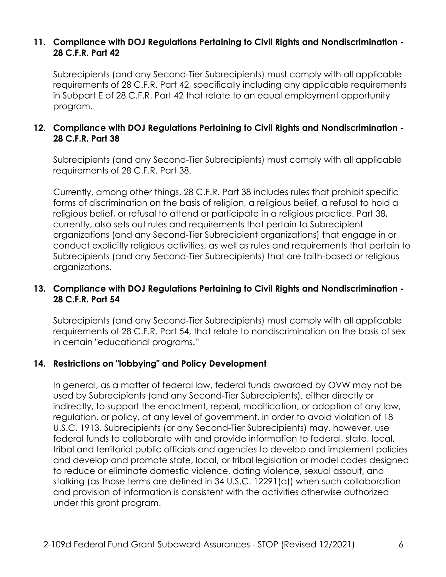#### **11. Compliance with DOJ Regulations Pertaining to Civil Rights and Nondiscrimination - 28 C.F.R. Part 42**

Subrecipients (and any Second-Tier Subrecipients) must comply with all applicable requirements of 28 C.F.R. Part 42, specifically including any applicable requirements in Subpart E of 28 C.F.R. Part 42 that relate to an equal employment opportunity program.

### **12. Compliance with DOJ Regulations Pertaining to Civil Rights and Nondiscrimination - 28 C.F.R. Part 38**

Subrecipients (and any Second-Tier Subrecipients) must comply with all applicable requirements of 28 C.F.R. Part 38.

Currently, among other things, 28 C.F.R. Part 38 includes rules that prohibit specific forms of discrimination on the basis of religion, a religious belief, a refusal to hold a religious belief, or refusal to attend or participate in a religious practice. Part 38, currently, also sets out rules and requirements that pertain to Subrecipient organizations (and any Second-Tier Subrecipient organizations) that engage in or conduct explicitly religious activities, as well as rules and requirements that pertain to Subrecipients (and any Second-Tier Subrecipients) that are faith-based or religious organizations.

### **13. Compliance with DOJ Regulations Pertaining to Civil Rights and Nondiscrimination - 28 C.F.R. Part 54**

Subrecipients (and any Second-Tier Subrecipients) must comply with all applicable requirements of 28 C.F.R. Part 54, that relate to nondiscrimination on the basis of sex in certain "educational programs."

## **14. Restrictions on "lobbying" and Policy Development**

In general, as a matter of federal law, federal funds awarded by OVW may not be used by Subrecipients (and any Second-Tier Subrecipients), either directly or indirectly, to support the enactment, repeal, modification, or adoption of any law, regulation, or policy, at any level of government, in order to avoid violation of 18 U.S.C. 1913. Subrecipients (or any Second-Tier Subrecipients) may, however, use federal funds to collaborate with and provide information to federal, state, local, tribal and territorial public officials and agencies to develop and implement policies and develop and promote state, local, or tribal legislation or model codes designed to reduce or eliminate domestic violence, dating violence, sexual assault, and stalking (as those terms are defined in 34 U.S.C. 12291(a)) when such collaboration and provision of information is consistent with the activities otherwise authorized under this grant program.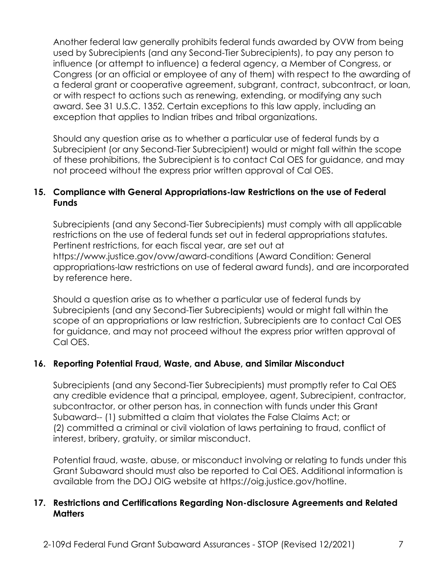Another federal law generally prohibits federal funds awarded by OVW from being used by Subrecipients (and any Second-Tier Subrecipients), to pay any person to influence (or attempt to influence) a federal agency, a Member of Congress, or Congress (or an official or employee of any of them) with respect to the awarding of a federal grant or cooperative agreement, subgrant, contract, subcontract, or loan, or with respect to actions such as renewing, extending, or modifying any such award. See 31 U.S.C. 1352. Certain exceptions to this law apply, including an exception that applies to Indian tribes and tribal organizations.

Should any question arise as to whether a particular use of federal funds by a Subrecipient (or any Second-Tier Subrecipient) would or might fall within the scope of these prohibitions, the Subrecipient is to contact Cal OES for guidance, and may not proceed without the express prior written approval of Cal OES.

### **15. Compliance with General Appropriations-law Restrictions on the use of Federal Funds**

Subrecipients (and any Second-Tier Subrecipients) must comply with all applicable restrictions on the use of federal funds set out in federal appropriations statutes. Pertinent restrictions, for each fiscal year, are set out at https://www.justice.gov/ovw/award-conditions (Award Condition: General appropriations-law restrictions on use of federal award funds), and are incorporated by reference here.

Should a question arise as to whether a particular use of federal funds by Subrecipients (and any Second-Tier Subrecipients) would or might fall within the scope of an appropriations or law restriction, Subrecipients are to contact Cal OES for guidance, and may not proceed without the express prior written approval of Cal OES.

## **16. Reporting Potential Fraud, Waste, and Abuse, and Similar Misconduct**

Subrecipients (and any Second-Tier Subrecipients) must promptly refer to Cal OES any credible evidence that a principal, employee, agent, Subrecipient, contractor, subcontractor, or other person has, in connection with funds under this Grant Subaward-- (1) submitted a claim that violates the False Claims Act; or (2) committed a criminal or civil violation of laws pertaining to fraud, conflict of interest, bribery, gratuity, or similar misconduct.

Potential fraud, waste, abuse, or misconduct involving or relating to funds under this Grant Subaward should must also be reported to Cal OES. Additional information is available from the DOJ OIG website at [https://oig.justice.gov/hotline.](https://oig.justice.gov/hotline)

#### **17. Restrictions and Certifications Regarding Non-disclosure Agreements and Related Matters**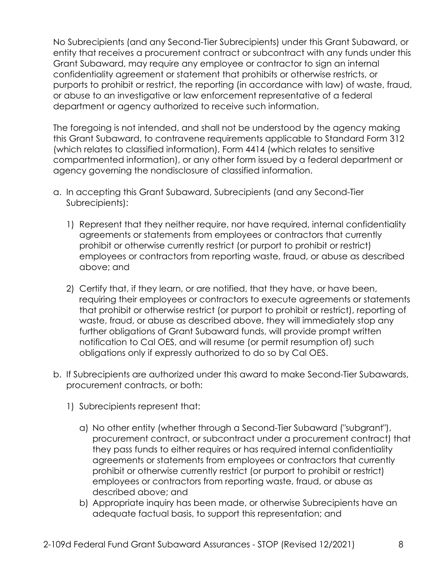No Subrecipients (and any Second-Tier Subrecipients) under this Grant Subaward, or entity that receives a procurement contract or subcontract with any funds under this Grant Subaward, may require any employee or contractor to sign an internal confidentiality agreement or statement that prohibits or otherwise restricts, or purports to prohibit or restrict, the reporting (in accordance with law) of waste, fraud, or abuse to an investigative or law enforcement representative of a federal department or agency authorized to receive such information.

The foregoing is not intended, and shall not be understood by the agency making this Grant Subaward, to contravene requirements applicable to Standard Form 312 (which relates to classified information), Form 4414 (which relates to sensitive compartmented information), or any other form issued by a federal department or agency governing the nondisclosure of classified information.

- a. In accepting this Grant Subaward, Subrecipients (and any Second-Tier Subrecipients):
	- 1) Represent that they neither require, nor have required, internal confidentiality agreements or statements from employees or contractors that currently prohibit or otherwise currently restrict (or purport to prohibit or restrict) employees or contractors from reporting waste, fraud, or abuse as described above; and
	- 2) Certify that, if they learn, or are notified, that they have, or have been, requiring their employees or contractors to execute agreements or statements that prohibit or otherwise restrict (or purport to prohibit or restrict), reporting of waste, fraud, or abuse as described above, they will immediately stop any further obligations of Grant Subaward funds, will provide prompt written notification to Cal OES, and will resume (or permit resumption of) such obligations only if expressly authorized to do so by Cal OES.
- b. If Subrecipients are authorized under this award to make Second-Tier Subawards, procurement contracts, or both:
	- 1) Subrecipients represent that:
		- a) No other entity (whether through a Second-Tier Subaward ("subgrant"), procurement contract, or subcontract under a procurement contract) that they pass funds to either requires or has required internal confidentiality agreements or statements from employees or contractors that currently prohibit or otherwise currently restrict (or purport to prohibit or restrict) employees or contractors from reporting waste, fraud, or abuse as described above; and
		- b) Appropriate inquiry has been made, or otherwise Subrecipients have an adequate factual basis, to support this representation; and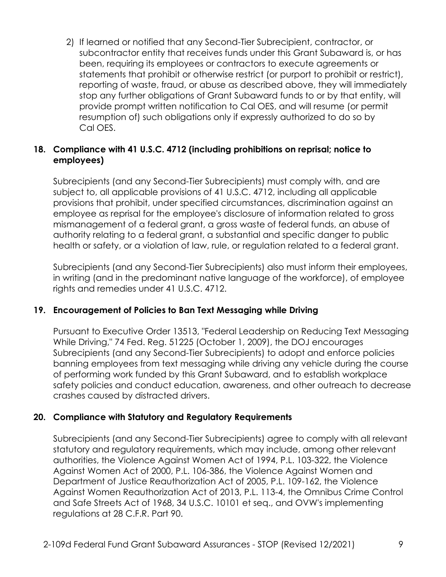2) If learned or notified that any Second-Tier Subrecipient, contractor, or subcontractor entity that receives funds under this Grant Subaward is, or has been, requiring its employees or contractors to execute agreements or statements that prohibit or otherwise restrict (or purport to prohibit or restrict), reporting of waste, fraud, or abuse as described above, they will immediately stop any further obligations of Grant Subaward funds to or by that entity, will provide prompt written notification to Cal OES, and will resume (or permit resumption of) such obligations only if expressly authorized to do so by Cal OES.

## **18. Compliance with 41 U.S.C. 4712 (including prohibitions on reprisal; notice to employees)**

Subrecipients (and any Second-Tier Subrecipients) must comply with, and are subject to, all applicable provisions of 41 U.S.C. 4712, including all applicable provisions that prohibit, under specified circumstances, discrimination against an employee as reprisal for the employee's disclosure of information related to gross mismanagement of a federal grant, a gross waste of federal funds, an abuse of authority relating to a federal grant, a substantial and specific danger to public health or safety, or a violation of law, rule, or regulation related to a federal grant.

Subrecipients (and any Second-Tier Subrecipients) also must inform their employees, in writing (and in the predominant native language of the workforce), of employee rights and remedies under 41 U.S.C. 4712.

## **19. Encouragement of Policies to Ban Text Messaging while Driving**

Pursuant to Executive Order 13513, "Federal Leadership on Reducing Text Messaging While Driving," 74 Fed. Reg. 51225 (October 1, 2009), the DOJ encourages Subrecipients (and any Second-Tier Subrecipients) to adopt and enforce policies banning employees from text messaging while driving any vehicle during the course of performing work funded by this Grant Subaward, and to establish workplace safety policies and conduct education, awareness, and other outreach to decrease crashes caused by distracted drivers.

## **20. Compliance with Statutory and Regulatory Requirements**

Subrecipients (and any Second-Tier Subrecipients) agree to comply with all relevant statutory and regulatory requirements, which may include, among other relevant authorities, the Violence Against Women Act of 1994, P.L. 103-322, the Violence Against Women Act of 2000, P.L. 106-386, the Violence Against Women and Department of Justice Reauthorization Act of 2005, P.L. 109-162, the Violence Against Women Reauthorization Act of 2013, P.L. 113-4, the Omnibus Crime Control and Safe Streets Act of 1968, 34 U.S.C. 10101 et seq., and OVW's implementing regulations at 28 C.F.R. Part 90.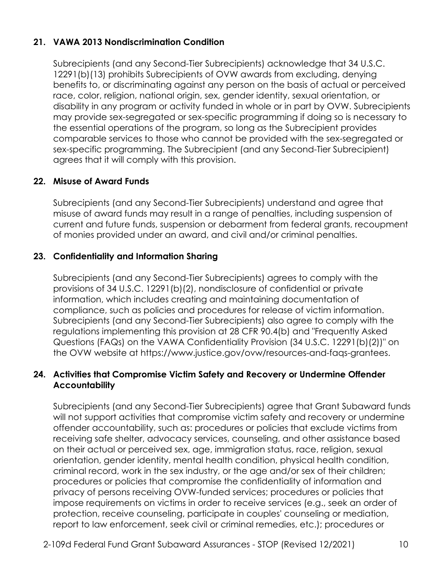## **21. VAWA 2013 Nondiscrimination Condition**

Subrecipients (and any Second-Tier Subrecipients) acknowledge that 34 U.S.C. 12291(b)(13) prohibits Subrecipients of OVW awards from excluding, denying benefits to, or discriminating against any person on the basis of actual or perceived race, color, religion, national origin, sex, gender identity, sexual orientation, or disability in any program or activity funded in whole or in part by OVW. Subrecipients may provide sex-segregated or sex-specific programming if doing so is necessary to the essential operations of the program, so long as the Subrecipient provides comparable services to those who cannot be provided with the sex-segregated or sex-specific programming. The Subrecipient (and any Second-Tier Subrecipient) agrees that it will comply with this provision.

## **22. Misuse of Award Funds**

Subrecipients (and any Second-Tier Subrecipients) understand and agree that misuse of award funds may result in a range of penalties, including suspension of current and future funds, suspension or debarment from federal grants, recoupment of monies provided under an award, and civil and/or criminal penalties.

### **23. Confidentiality and Information Sharing**

Subrecipients (and any Second-Tier Subrecipients) agrees to comply with the provisions of 34 U.S.C. 12291(b)(2), nondisclosure of confidential or private information, which includes creating and maintaining documentation of compliance, such as policies and procedures for release of victim information. Subrecipients (and any Second-Tier Subrecipients) also agree to comply with the regulations implementing this provision at 28 CFR 90.4(b) and "Frequently Asked Questions (FAQs) on the VAWA Confidentiality Provision (34 U.S.C. 12291(b)(2))" on the OVW website at https://www.justice.gov/ovw/resources-and-faqs-grantees.

#### **24. Activities that Compromise Victim Safety and Recovery or Undermine Offender Accountability**

Subrecipients (and any Second-Tier Subrecipients) agree that Grant Subaward funds will not support activities that compromise victim safety and recovery or undermine offender accountability, such as: procedures or policies that exclude victims from receiving safe shelter, advocacy services, counseling, and other assistance based on their actual or perceived sex, age, immigration status, race, religion, sexual orientation, gender identity, mental health condition, physical health condition, criminal record, work in the sex industry, or the age and/or sex of their children; procedures or policies that compromise the confidentiality of information and privacy of persons receiving OVW-funded services; procedures or policies that impose requirements on victims in order to receive services (e.g., seek an order of protection, receive counseling, participate in couples' counseling or mediation, report to law enforcement, seek civil or criminal remedies, etc.); procedures or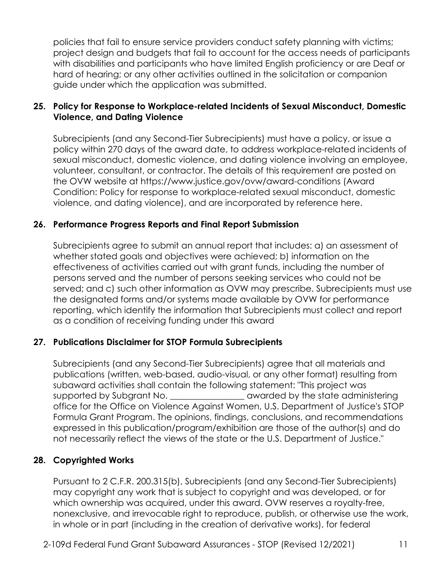policies that fail to ensure service providers conduct safety planning with victims; project design and budgets that fail to account for the access needs of participants with disabilities and participants who have limited English proficiency or are Deaf or hard of hearing; or any other activities outlined in the solicitation or companion guide under which the application was submitted.

## **25. Policy for Response to Workplace-related Incidents of Sexual Misconduct, Domestic Violence, and Dating Violence**

Subrecipients (and any Second-Tier Subrecipients) must have a policy, or issue a policy within 270 days of the award date, to address workplace-related incidents of sexual misconduct, domestic violence, and dating violence involving an employee, volunteer, consultant, or contractor. The details of this requirement are posted on the OVW website at https://www.justice.gov/ovw/award-conditions (Award Condition: Policy for response to workplace-related sexual misconduct, domestic violence, and dating violence), and are incorporated by reference here.

### **26. Performance Progress Reports and Final Report Submission**

Subrecipients agree to submit an annual report that includes: a) an assessment of whether stated goals and objectives were achieved; b) information on the effectiveness of activities carried out with grant funds, including the number of persons served and the number of persons seeking services who could not be served; and c) such other information as OVW may prescribe. Subrecipients must use the designated forms and/or systems made available by OVW for performance reporting, which identify the information that Subrecipients must collect and report as a condition of receiving funding under this award

#### **27. Publications Disclaimer for STOP Formula Subrecipients**

Subrecipients (and any Second-Tier Subrecipients) agree that all materials and publications (written, web-based, audio-visual, or any other format) resulting from subaward activities shall contain the following statement: "This project was supported by Subgrant No. \_\_\_\_\_\_\_\_\_\_\_\_\_\_\_\_\_\_\_\_ awarded by the state administering office for the Office on Violence Against Women, U.S. Department of Justice's STOP Formula Grant Program. The opinions, findings, conclusions, and recommendations expressed in this publication/program/exhibition are those of the author(s) and do not necessarily reflect the views of the state or the U.S. Department of Justice."

#### **28. Copyrighted Works**

Pursuant to 2 C.F.R. 200.315(b), Subrecipients (and any Second-Tier Subrecipients) may copyright any work that is subject to copyright and was developed, or for which ownership was acquired, under this award. OVW reserves a royalty-free, nonexclusive, and irrevocable right to reproduce, publish, or otherwise use the work, in whole or in part (including in the creation of derivative works), for federal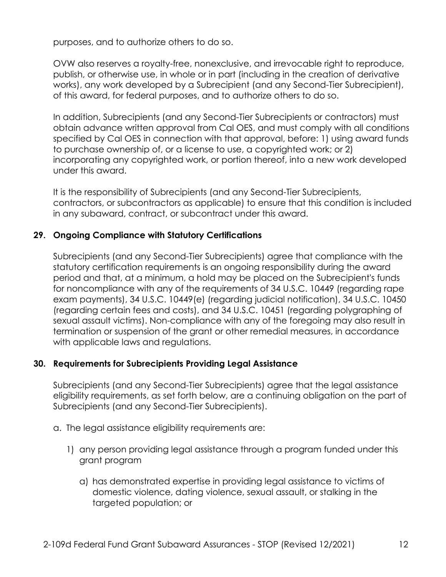purposes, and to authorize others to do so.

OVW also reserves a royalty-free, nonexclusive, and irrevocable right to reproduce, publish, or otherwise use, in whole or in part (including in the creation of derivative works), any work developed by a Subrecipient (and any Second-Tier Subrecipient), of this award, for federal purposes, and to authorize others to do so.

In addition, Subrecipients (and any Second-Tier Subrecipients or contractors) must obtain advance written approval from Cal OES, and must comply with all conditions specified by Cal OES in connection with that approval, before: 1) using award funds to purchase ownership of, or a license to use, a copyrighted work; or 2) incorporating any copyrighted work, or portion thereof, into a new work developed under this award.

It is the responsibility of Subrecipients (and any Second-Tier Subrecipients, contractors, or subcontractors as applicable) to ensure that this condition is included in any subaward, contract, or subcontract under this award.

### **29. Ongoing Compliance with Statutory Certifications**

Subrecipients (and any Second-Tier Subrecipients) agree that compliance with the statutory certification requirements is an ongoing responsibility during the award period and that, at a minimum, a hold may be placed on the Subrecipient's funds for noncompliance with any of the requirements of 34 U.S.C. 10449 (regarding rape exam payments), 34 U.S.C. 10449(e) (regarding judicial notification), 34 U.S.C. 10450 (regarding certain fees and costs), and 34 U.S.C. 10451 (regarding polygraphing of sexual assault victims). Non-compliance with any of the foregoing may also result in termination or suspension of the grant or other remedial measures, in accordance with applicable laws and regulations.

#### **30. Requirements for Subrecipients Providing Legal Assistance**

Subrecipients (and any Second-Tier Subrecipients) agree that the legal assistance eligibility requirements, as set forth below, are a continuing obligation on the part of Subrecipients (and any Second-Tier Subrecipients).

- a. The legal assistance eligibility requirements are:
	- 1) any person providing legal assistance through a program funded under this grant program
		- a) has demonstrated expertise in providing legal assistance to victims of domestic violence, dating violence, sexual assault, or stalking in the targeted population; or